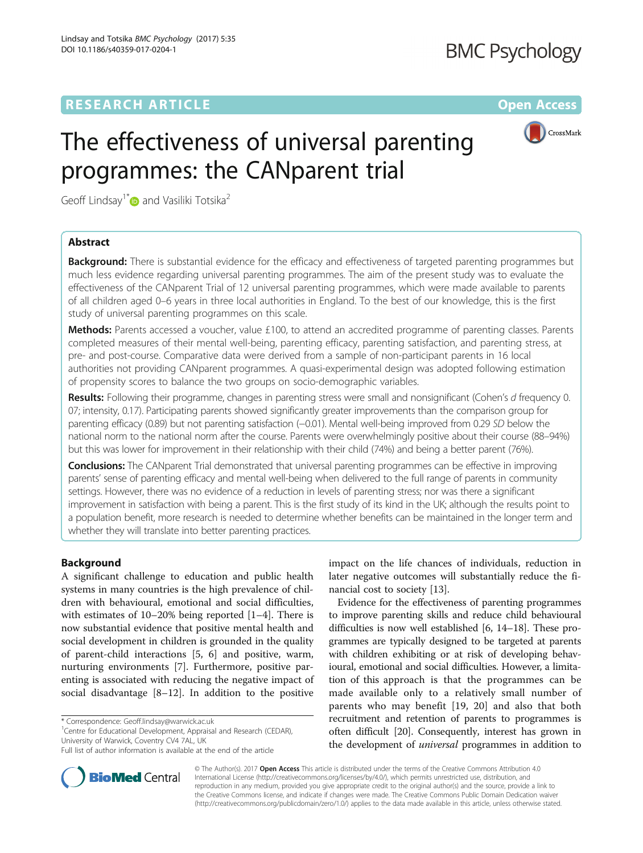# **RESEARCH ARTICLE External Structure Community Community Community Community Community Community Community Community**



# The effectiveness of universal parenting programmes: the CANparent trial

Geoff Lindsay<sup>1[\\*](http://orcid.org/0000-0001-5253-3851)</sup> and Vasiliki Totsika<sup>2</sup>

# Abstract

**Background:** There is substantial evidence for the efficacy and effectiveness of targeted parenting programmes but much less evidence regarding universal parenting programmes. The aim of the present study was to evaluate the effectiveness of the CANparent Trial of 12 universal parenting programmes, which were made available to parents of all children aged 0–6 years in three local authorities in England. To the best of our knowledge, this is the first study of universal parenting programmes on this scale.

Methods: Parents accessed a voucher, value £100, to attend an accredited programme of parenting classes. Parents completed measures of their mental well-being, parenting efficacy, parenting satisfaction, and parenting stress, at pre- and post-course. Comparative data were derived from a sample of non-participant parents in 16 local authorities not providing CANparent programmes. A quasi-experimental design was adopted following estimation of propensity scores to balance the two groups on socio-demographic variables.

Results: Following their programme, changes in parenting stress were small and nonsignificant (Cohen's d frequency 0. 07; intensity, 0.17). Participating parents showed significantly greater improvements than the comparison group for parenting efficacy (0.89) but not parenting satisfaction (−0.01). Mental well-being improved from 0.29 SD below the national norm to the national norm after the course. Parents were overwhelmingly positive about their course (88–94%) but this was lower for improvement in their relationship with their child (74%) and being a better parent (76%).

**Conclusions:** The CANparent Trial demonstrated that universal parenting programmes can be effective in improving parents' sense of parenting efficacy and mental well-being when delivered to the full range of parents in community settings. However, there was no evidence of a reduction in levels of parenting stress; nor was there a significant improvement in satisfaction with being a parent. This is the first study of its kind in the UK; although the results point to a population benefit, more research is needed to determine whether benefits can be maintained in the longer term and whether they will translate into better parenting practices.

# Background

A significant challenge to education and public health systems in many countries is the high prevalence of children with behavioural, emotional and social difficulties, with estimates of 10–20% being reported [\[1](#page-9-0)–[4](#page-9-0)]. There is now substantial evidence that positive mental health and social development in children is grounded in the quality of parent-child interactions [\[5, 6](#page-9-0)] and positive, warm, nurturing environments [\[7](#page-9-0)]. Furthermore, positive parenting is associated with reducing the negative impact of social disadvantage [[8](#page-9-0)–[12](#page-10-0)]. In addition to the positive

\* Correspondence: [Geoff.lindsay@warwick.ac.uk](mailto:Geoff.lindsay@warwick.ac.uk) <sup>1</sup>

<sup>1</sup> Centre for Educational Development, Appraisal and Research (CEDAR), University of Warwick, Coventry CV4 7AL, UK

impact on the life chances of individuals, reduction in later negative outcomes will substantially reduce the financial cost to society [\[13](#page-10-0)].

Evidence for the effectiveness of parenting programmes to improve parenting skills and reduce child behavioural difficulties is now well established [[6](#page-9-0), [14](#page-10-0)–[18](#page-10-0)]. These programmes are typically designed to be targeted at parents with children exhibiting or at risk of developing behavioural, emotional and social difficulties. However, a limitation of this approach is that the programmes can be made available only to a relatively small number of parents who may benefit [[19, 20\]](#page-10-0) and also that both recruitment and retention of parents to programmes is often difficult [\[20\]](#page-10-0). Consequently, interest has grown in the development of universal programmes in addition to



© The Author(s). 2017 **Open Access** This article is distributed under the terms of the Creative Commons Attribution 4.0 International License [\(http://creativecommons.org/licenses/by/4.0/](http://creativecommons.org/licenses/by/4.0/)), which permits unrestricted use, distribution, and reproduction in any medium, provided you give appropriate credit to the original author(s) and the source, provide a link to the Creative Commons license, and indicate if changes were made. The Creative Commons Public Domain Dedication waiver [\(http://creativecommons.org/publicdomain/zero/1.0/](http://creativecommons.org/publicdomain/zero/1.0/)) applies to the data made available in this article, unless otherwise stated.

Full list of author information is available at the end of the article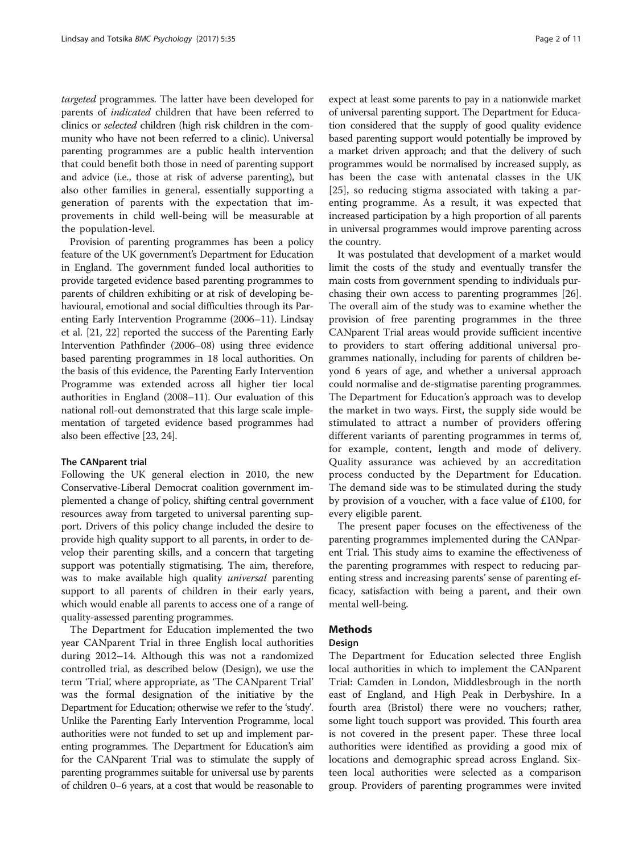targeted programmes. The latter have been developed for parents of indicated children that have been referred to clinics or selected children (high risk children in the community who have not been referred to a clinic). Universal parenting programmes are a public health intervention that could benefit both those in need of parenting support and advice (i.e., those at risk of adverse parenting), but also other families in general, essentially supporting a generation of parents with the expectation that improvements in child well-being will be measurable at the population-level.

Provision of parenting programmes has been a policy feature of the UK government's Department for Education in England. The government funded local authorities to provide targeted evidence based parenting programmes to parents of children exhibiting or at risk of developing behavioural, emotional and social difficulties through its Parenting Early Intervention Programme (2006–11). Lindsay et al. [\[21, 22\]](#page-10-0) reported the success of the Parenting Early Intervention Pathfinder (2006–08) using three evidence based parenting programmes in 18 local authorities. On the basis of this evidence, the Parenting Early Intervention Programme was extended across all higher tier local authorities in England (2008–11). Our evaluation of this national roll-out demonstrated that this large scale implementation of targeted evidence based programmes had also been effective [\[23, 24\]](#page-10-0).

### The CANparent trial

Following the UK general election in 2010, the new Conservative-Liberal Democrat coalition government implemented a change of policy, shifting central government resources away from targeted to universal parenting support. Drivers of this policy change included the desire to provide high quality support to all parents, in order to develop their parenting skills, and a concern that targeting support was potentially stigmatising. The aim, therefore, was to make available high quality *universal* parenting support to all parents of children in their early years, which would enable all parents to access one of a range of quality-assessed parenting programmes.

The Department for Education implemented the two year CANparent Trial in three English local authorities during 2012–14. Although this was not a randomized controlled trial, as described below (Design), we use the term 'Trial', where appropriate, as 'The CANparent Trial' was the formal designation of the initiative by the Department for Education; otherwise we refer to the 'study'. Unlike the Parenting Early Intervention Programme, local authorities were not funded to set up and implement parenting programmes. The Department for Education's aim for the CANparent Trial was to stimulate the supply of parenting programmes suitable for universal use by parents of children 0–6 years, at a cost that would be reasonable to

expect at least some parents to pay in a nationwide market of universal parenting support. The Department for Education considered that the supply of good quality evidence based parenting support would potentially be improved by a market driven approach; and that the delivery of such programmes would be normalised by increased supply, as has been the case with antenatal classes in the UK [[25\]](#page-10-0), so reducing stigma associated with taking a parenting programme. As a result, it was expected that increased participation by a high proportion of all parents in universal programmes would improve parenting across the country.

It was postulated that development of a market would limit the costs of the study and eventually transfer the main costs from government spending to individuals purchasing their own access to parenting programmes [[26](#page-10-0)]. The overall aim of the study was to examine whether the provision of free parenting programmes in the three CANparent Trial areas would provide sufficient incentive to providers to start offering additional universal programmes nationally, including for parents of children beyond 6 years of age, and whether a universal approach could normalise and de-stigmatise parenting programmes. The Department for Education's approach was to develop the market in two ways. First, the supply side would be stimulated to attract a number of providers offering different variants of parenting programmes in terms of, for example, content, length and mode of delivery. Quality assurance was achieved by an accreditation process conducted by the Department for Education. The demand side was to be stimulated during the study by provision of a voucher, with a face value of £100, for every eligible parent.

The present paper focuses on the effectiveness of the parenting programmes implemented during the CANparent Trial. This study aims to examine the effectiveness of the parenting programmes with respect to reducing parenting stress and increasing parents' sense of parenting efficacy, satisfaction with being a parent, and their own mental well-being.

# Methods

# Design

The Department for Education selected three English local authorities in which to implement the CANparent Trial: Camden in London, Middlesbrough in the north east of England, and High Peak in Derbyshire. In a fourth area (Bristol) there were no vouchers; rather, some light touch support was provided. This fourth area is not covered in the present paper. These three local authorities were identified as providing a good mix of locations and demographic spread across England. Sixteen local authorities were selected as a comparison group. Providers of parenting programmes were invited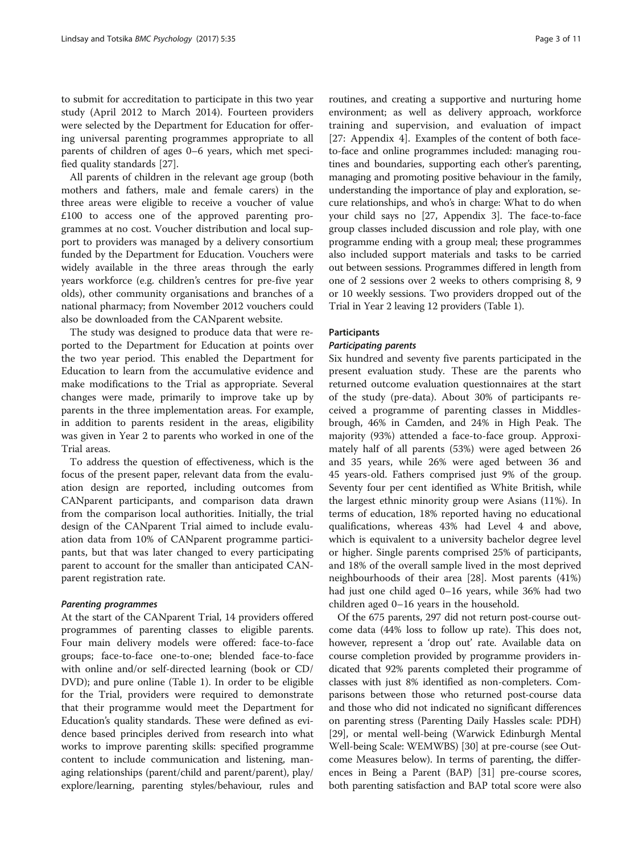to submit for accreditation to participate in this two year study (April 2012 to March 2014). Fourteen providers were selected by the Department for Education for offering universal parenting programmes appropriate to all parents of children of ages 0–6 years, which met specified quality standards [\[27](#page-10-0)].

All parents of children in the relevant age group (both mothers and fathers, male and female carers) in the three areas were eligible to receive a voucher of value £100 to access one of the approved parenting programmes at no cost. Voucher distribution and local support to providers was managed by a delivery consortium funded by the Department for Education. Vouchers were widely available in the three areas through the early years workforce (e.g. children's centres for pre-five year olds), other community organisations and branches of a national pharmacy; from November 2012 vouchers could also be downloaded from the CANparent website.

The study was designed to produce data that were reported to the Department for Education at points over the two year period. This enabled the Department for Education to learn from the accumulative evidence and make modifications to the Trial as appropriate. Several changes were made, primarily to improve take up by parents in the three implementation areas. For example, in addition to parents resident in the areas, eligibility was given in Year 2 to parents who worked in one of the Trial areas.

To address the question of effectiveness, which is the focus of the present paper, relevant data from the evaluation design are reported, including outcomes from CANparent participants, and comparison data drawn from the comparison local authorities. Initially, the trial design of the CANparent Trial aimed to include evaluation data from 10% of CANparent programme participants, but that was later changed to every participating parent to account for the smaller than anticipated CANparent registration rate.

At the start of the CANparent Trial, 14 providers offered programmes of parenting classes to eligible parents. Four main delivery models were offered: face-to-face groups; face-to-face one-to-one; blended face-to-face with online and/or self-directed learning (book or CD/ DVD); and pure online (Table [1](#page-3-0)). In order to be eligible for the Trial, providers were required to demonstrate that their programme would meet the Department for Education's quality standards. These were defined as evidence based principles derived from research into what works to improve parenting skills: specified programme content to include communication and listening, managing relationships (parent/child and parent/parent), play/ explore/learning, parenting styles/behaviour, rules and

routines, and creating a supportive and nurturing home environment; as well as delivery approach, workforce training and supervision, and evaluation of impact [27: Appendix 4]. Examples of the content of both faceto-face and online programmes included: managing routines and boundaries, supporting each other's parenting, managing and promoting positive behaviour in the family, understanding the importance of play and exploration, secure relationships, and who's in charge: What to do when your child says no [27, Appendix 3]. The face-to-face group classes included discussion and role play, with one programme ending with a group meal; these programmes also included support materials and tasks to be carried out between sessions. Programmes differed in length from one of 2 sessions over 2 weeks to others comprising 8, 9 or 10 weekly sessions. Two providers dropped out of the Trial in Year 2 leaving 12 providers (Table [1](#page-3-0)).

# Participants

Six hundred and seventy five parents participated in the present evaluation study. These are the parents who returned outcome evaluation questionnaires at the start of the study (pre-data). About 30% of participants received a programme of parenting classes in Middlesbrough, 46% in Camden, and 24% in High Peak. The majority (93%) attended a face-to-face group. Approximately half of all parents (53%) were aged between 26 and 35 years, while 26% were aged between 36 and 45 years-old. Fathers comprised just 9% of the group. Seventy four per cent identified as White British, while the largest ethnic minority group were Asians (11%). In terms of education, 18% reported having no educational qualifications, whereas 43% had Level 4 and above, which is equivalent to a university bachelor degree level or higher. Single parents comprised 25% of participants, and 18% of the overall sample lived in the most deprived neighbourhoods of their area [[28\]](#page-10-0). Most parents (41%) had just one child aged 0–16 years, while 36% had two children aged 0–16 years in the household.

Of the 675 parents, 297 did not return post-course outcome data (44% loss to follow up rate). This does not, however, represent a 'drop out' rate. Available data on course completion provided by programme providers indicated that 92% parents completed their programme of classes with just 8% identified as non-completers. Comparisons between those who returned post-course data and those who did not indicated no significant differences on parenting stress (Parenting Daily Hassles scale: PDH) [[29](#page-10-0)], or mental well-being (Warwick Edinburgh Mental Well-being Scale: WEMWBS) [[30](#page-10-0)] at pre-course (see Outcome Measures below). In terms of parenting, the differences in Being a Parent (BAP) [[31](#page-10-0)] pre-course scores, both parenting satisfaction and BAP total score were also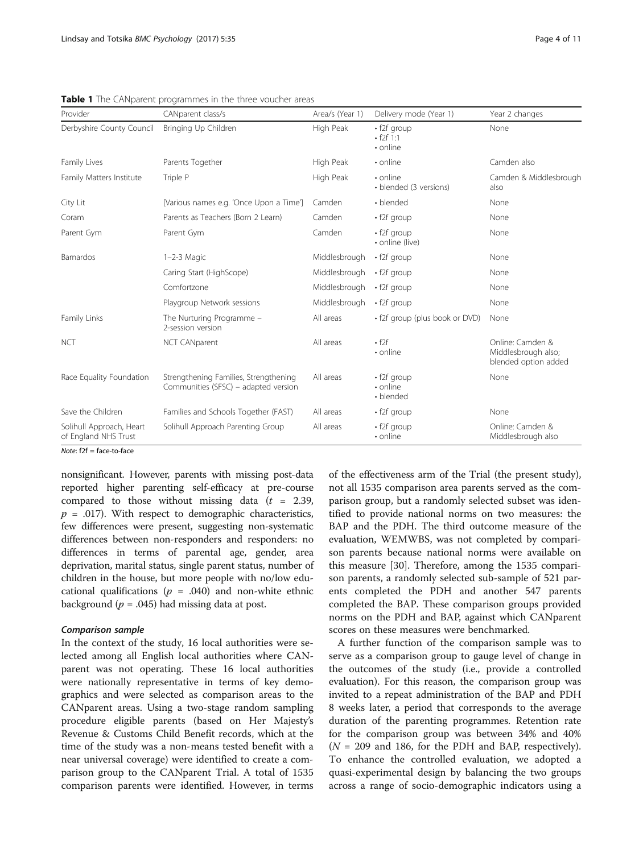| Provider                                         | CANparent class/s                                                             | Area/s (Year 1) | Delivery mode (Year 1)                           | Year 2 changes                                                  |
|--------------------------------------------------|-------------------------------------------------------------------------------|-----------------|--------------------------------------------------|-----------------------------------------------------------------|
| Derbyshire County Council                        | Bringing Up Children                                                          | High Peak       | $\cdot$ f2f group<br>$\cdot$ f2f 1:1<br>• online | None                                                            |
| Family Lives                                     | Parents Together                                                              | High Peak       | • online                                         | Camden also                                                     |
| Family Matters Institute                         | Triple P                                                                      | High Peak       | · online<br>• blended (3 versions)               | Camden & Middlesbrough<br>also                                  |
| City Lit                                         | [Various names e.g. 'Once Upon a Time']                                       | Camden          | • blended                                        | None                                                            |
| Coram                                            | Parents as Teachers (Born 2 Learn)                                            | Camden          | $\cdot$ f2f group                                | None                                                            |
| Parent Gym                                       | Parent Gym                                                                    | Camden          | $\cdot$ f2f group<br>· online (live)             | None                                                            |
| Barnardos                                        | $1-2-3$ Magic                                                                 | Middlesbrough   | $\cdot$ f2f group                                | None                                                            |
|                                                  | Caring Start (HighScope)                                                      | Middlesbrough   | • f2f group                                      | None                                                            |
|                                                  | Comfortzone                                                                   | Middlesbrough   | $\cdot$ f2f group                                | None                                                            |
|                                                  | Playgroup Network sessions                                                    | Middlesbrough   | $\cdot$ f2f group                                | None                                                            |
| Family Links                                     | The Nurturing Programme -<br>2-session version                                | All areas       | · f2f group (plus book or DVD)                   | None                                                            |
| <b>NCT</b>                                       | <b>NCT CANparent</b>                                                          | All areas       | $\cdot$ f2f<br>• online                          | Online: Camden &<br>Middlesbrough also;<br>blended option added |
| Race Equality Foundation                         | Strengthening Families, Strengthening<br>Communities (SFSC) – adapted version | All areas       | · f2f group<br>• online<br>• blended             | None                                                            |
| Save the Children                                | Families and Schools Together (FAST)                                          | All areas       | $\cdot$ f2f group                                | None                                                            |
| Solihull Approach, Heart<br>of England NHS Trust | Solihull Approach Parenting Group                                             | All areas       | $\cdot$ f2f group<br>• online                    | Online: Camden &<br>Middlesbrough also                          |

<span id="page-3-0"></span>**Table 1** The CANparent programmes in the three voucher areas

 $Note: 62f = face-to-face$ 

nonsignificant. However, parents with missing post-data reported higher parenting self-efficacy at pre-course compared to those without missing data ( $t = 2.39$ ,  $p = .017$ ). With respect to demographic characteristics, few differences were present, suggesting non-systematic differences between non-responders and responders: no differences in terms of parental age, gender, area deprivation, marital status, single parent status, number of children in the house, but more people with no/low educational qualifications ( $p = .040$ ) and non-white ethnic background ( $p = .045$ ) had missing data at post.

In the context of the study, 16 local authorities were selected among all English local authorities where CANparent was not operating. These 16 local authorities were nationally representative in terms of key demographics and were selected as comparison areas to the CANparent areas. Using a two-stage random sampling procedure eligible parents (based on Her Majesty's Revenue & Customs Child Benefit records, which at the time of the study was a non-means tested benefit with a near universal coverage) were identified to create a comparison group to the CANparent Trial. A total of 1535 comparison parents were identified. However, in terms of the effectiveness arm of the Trial (the present study), not all 1535 comparison area parents served as the comparison group, but a randomly selected subset was identified to provide national norms on two measures: the BAP and the PDH. The third outcome measure of the evaluation, WEMWBS, was not completed by comparison parents because national norms were available on this measure [[30](#page-10-0)]. Therefore, among the 1535 comparison parents, a randomly selected sub-sample of 521 parents completed the PDH and another 547 parents completed the BAP. These comparison groups provided norms on the PDH and BAP, against which CANparent scores on these measures were benchmarked.

A further function of the comparison sample was to serve as a comparison group to gauge level of change in the outcomes of the study (i.e., provide a controlled evaluation). For this reason, the comparison group was invited to a repeat administration of the BAP and PDH 8 weeks later, a period that corresponds to the average duration of the parenting programmes. Retention rate for the comparison group was between 34% and 40%  $(N = 209)$  and 186, for the PDH and BAP, respectively). To enhance the controlled evaluation, we adopted a quasi-experimental design by balancing the two groups across a range of socio-demographic indicators using a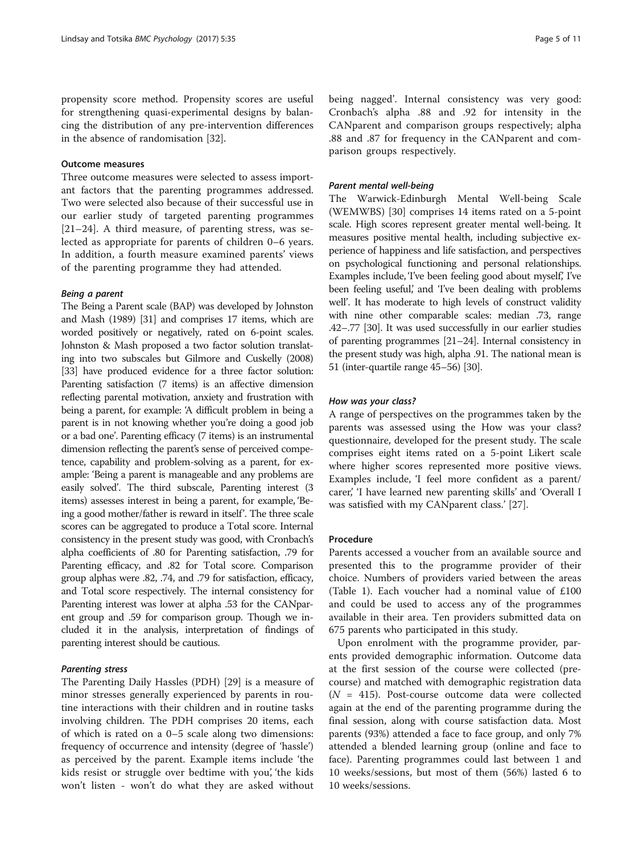propensity score method. Propensity scores are useful for strengthening quasi-experimental designs by balancing the distribution of any pre-intervention differences in the absence of randomisation [\[32](#page-10-0)].

## Outcome measures

Three outcome measures were selected to assess important factors that the parenting programmes addressed. Two were selected also because of their successful use in our earlier study of targeted parenting programmes [[21](#page-10-0)–[24\]](#page-10-0). A third measure, of parenting stress, was selected as appropriate for parents of children 0–6 years. In addition, a fourth measure examined parents' views of the parenting programme they had attended.

Being a parent The Being a Parent scale (BAP) was developed by Johnston and Mash (1989) [[31](#page-10-0)] and comprises 17 items, which are worded positively or negatively, rated on 6-point scales. Johnston & Mash proposed a two factor solution translating into two subscales but Gilmore and Cuskelly (2008) [[33](#page-10-0)] have produced evidence for a three factor solution: Parenting satisfaction (7 items) is an affective dimension reflecting parental motivation, anxiety and frustration with being a parent, for example: 'A difficult problem in being a parent is in not knowing whether you're doing a good job or a bad one'. Parenting efficacy (7 items) is an instrumental dimension reflecting the parent's sense of perceived competence, capability and problem-solving as a parent, for example: 'Being a parent is manageable and any problems are easily solved'. The third subscale, Parenting interest (3 items) assesses interest in being a parent, for example, 'Being a good mother/father is reward in itself'. The three scale scores can be aggregated to produce a Total score. Internal consistency in the present study was good, with Cronbach's alpha coefficients of .80 for Parenting satisfaction, .79 for Parenting efficacy, and .82 for Total score. Comparison group alphas were .82, .74, and .79 for satisfaction, efficacy, and Total score respectively. The internal consistency for Parenting interest was lower at alpha .53 for the CANparent group and .59 for comparison group. Though we included it in the analysis, interpretation of findings of parenting interest should be cautious.

The Parenting Daily Hassles (PDH) [[29](#page-10-0)] is a measure of minor stresses generally experienced by parents in routine interactions with their children and in routine tasks involving children. The PDH comprises 20 items, each of which is rated on a 0–5 scale along two dimensions: frequency of occurrence and intensity (degree of 'hassle') as perceived by the parent. Example items include 'the kids resist or struggle over bedtime with you', 'the kids won't listen - won't do what they are asked without being nagged'. Internal consistency was very good: Cronbach's alpha .88 and .92 for intensity in the CANparent and comparison groups respectively; alpha .88 and .87 for frequency in the CANparent and comparison groups respectively.

Parent mental well-being The Warwick-Edinburgh Mental Well-being Scale (WEMWBS) [\[30\]](#page-10-0) comprises 14 items rated on a 5-point scale. High scores represent greater mental well-being. It measures positive mental health, including subjective experience of happiness and life satisfaction, and perspectives on psychological functioning and personal relationships. Examples include, 'I've been feeling good about myself,' I've been feeling useful,' and 'I've been dealing with problems well'. It has moderate to high levels of construct validity with nine other comparable scales: median .73, range .42–.77 [[30](#page-10-0)]. It was used successfully in our earlier studies of parenting programmes [[21](#page-10-0)–[24\]](#page-10-0). Internal consistency in the present study was high, alpha .91. The national mean is 51 (inter-quartile range 45–56) [\[30\]](#page-10-0).

A range of perspectives on the programmes taken by the parents was assessed using the How was your class? questionnaire, developed for the present study. The scale comprises eight items rated on a 5-point Likert scale where higher scores represented more positive views. Examples include, 'I feel more confident as a parent/ carer,' 'I have learned new parenting skills' and 'Overall I was satisfied with my CANparent class.' [[27](#page-10-0)].

# Procedure

Parents accessed a voucher from an available source and presented this to the programme provider of their choice. Numbers of providers varied between the areas (Table [1\)](#page-3-0). Each voucher had a nominal value of £100 and could be used to access any of the programmes available in their area. Ten providers submitted data on 675 parents who participated in this study.

Upon enrolment with the programme provider, parents provided demographic information. Outcome data at the first session of the course were collected (precourse) and matched with demographic registration data  $(N = 415)$ . Post-course outcome data were collected again at the end of the parenting programme during the final session, along with course satisfaction data. Most parents (93%) attended a face to face group, and only 7% attended a blended learning group (online and face to face). Parenting programmes could last between 1 and 10 weeks/sessions, but most of them (56%) lasted 6 to 10 weeks/sessions.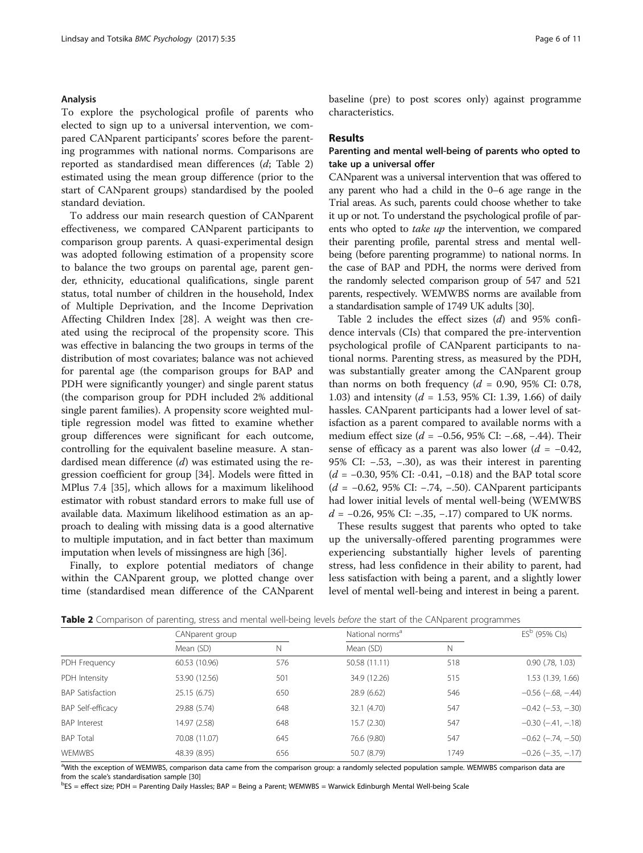### <span id="page-5-0"></span>Analysis

To explore the psychological profile of parents who elected to sign up to a universal intervention, we compared CANparent participants' scores before the parenting programmes with national norms. Comparisons are reported as standardised mean differences (d; Table 2) estimated using the mean group difference (prior to the start of CANparent groups) standardised by the pooled standard deviation.

To address our main research question of CANparent effectiveness, we compared CANparent participants to comparison group parents. A quasi-experimental design was adopted following estimation of a propensity score to balance the two groups on parental age, parent gender, ethnicity, educational qualifications, single parent status, total number of children in the household, Index of Multiple Deprivation, and the Income Deprivation Affecting Children Index [[28](#page-10-0)]. A weight was then created using the reciprocal of the propensity score. This was effective in balancing the two groups in terms of the distribution of most covariates; balance was not achieved for parental age (the comparison groups for BAP and PDH were significantly younger) and single parent status (the comparison group for PDH included 2% additional single parent families). A propensity score weighted multiple regression model was fitted to examine whether group differences were significant for each outcome, controlling for the equivalent baseline measure. A standardised mean difference (d) was estimated using the regression coefficient for group [[34\]](#page-10-0). Models were fitted in MPlus 7.4 [[35](#page-10-0)], which allows for a maximum likelihood estimator with robust standard errors to make full use of available data. Maximum likelihood estimation as an approach to dealing with missing data is a good alternative to multiple imputation, and in fact better than maximum imputation when levels of missingness are high [[36](#page-10-0)].

Finally, to explore potential mediators of change within the CANparent group, we plotted change over time (standardised mean difference of the CANparent baseline (pre) to post scores only) against programme characteristics.

### Results

# Parenting and mental well-being of parents who opted to take up a universal offer

CANparent was a universal intervention that was offered to any parent who had a child in the 0–6 age range in the Trial areas. As such, parents could choose whether to take it up or not. To understand the psychological profile of parents who opted to take up the intervention, we compared their parenting profile, parental stress and mental wellbeing (before parenting programme) to national norms. In the case of BAP and PDH, the norms were derived from the randomly selected comparison group of 547 and 521 parents, respectively. WEMWBS norms are available from a standardisation sample of 1749 UK adults [[30\]](#page-10-0).

Table 2 includes the effect sizes  $(d)$  and 95% confidence intervals (CIs) that compared the pre-intervention psychological profile of CANparent participants to national norms. Parenting stress, as measured by the PDH, was substantially greater among the CANparent group than norms on both frequency  $(d = 0.90, 95\% \text{ CI: } 0.78,$ 1.03) and intensity ( $d = 1.53$ , 95% CI: 1.39, 1.66) of daily hassles. CANparent participants had a lower level of satisfaction as a parent compared to available norms with a medium effect size (d = −0.56, 95% CI: −.68, −.44). Their sense of efficacy as a parent was also lower ( $d = -0.42$ , 95% CI: −.53, −.30), as was their interest in parenting  $(d = -0.30, 95\%$  CI: -0.41, -0.18) and the BAP total score (d = −0.62, 95% CI: −.74, −.50). CANparent participants had lower initial levels of mental well-being (WEMWBS  $d = -0.26$ , 95% CI: −.35, −.17) compared to UK norms.

These results suggest that parents who opted to take up the universally-offered parenting programmes were experiencing substantially higher levels of parenting stress, had less confidence in their ability to parent, had less satisfaction with being a parent, and a slightly lower level of mental well-being and interest in being a parent.

|                          | CANparent group |     | National norms <sup>a</sup> |      | $ESb$ (95% Cls)          |
|--------------------------|-----------------|-----|-----------------------------|------|--------------------------|
|                          | Mean (SD)       | N   | Mean (SD)                   | N    |                          |
| PDH Frequency            | 60.53 (10.96)   | 576 | 50.58 (11.11)               | 518  | $0.90$ $(.78, 1.03)$     |
| PDH Intensity            | 53.90 (12.56)   | 501 | 34.9 (12.26)                | 515  | 1.53 (1.39, 1.66)        |
| <b>BAP Satisfaction</b>  | 25.15 (6.75)    | 650 | 28.9 (6.62)                 | 546  | $-0.56$ ( $-.68, -.44$ ) |
| <b>BAP Self-efficacy</b> | 29.88 (5.74)    | 648 | 32.1 (4.70)                 | 547  | $-0.42$ ( $-.53, -.30$ ) |
| <b>BAP</b> Interest      | 14.97 (2.58)    | 648 | 15.7(2.30)                  | 547  | $-0.30$ $(-.41, -18)$    |
| <b>BAP Total</b>         | 70.08 (11.07)   | 645 | 76.6 (9.80)                 | 547  | $-0.62$ ( $-.74, -.50$ ) |
| WEMWBS                   | 48.39 (8.95)    | 656 | 50.7 (8.79)                 | 1749 | $-0.26$ $(-.35, -17)$    |

Table 2 Comparison of parenting, stress and mental well-being levels before the start of the CANparent programmes

a<br>With the exception of WEMWBS, comparison data came from the comparison group: a randomly selected population sample. WEMWBS comparison data are from the scale's standardisation sample [[30](#page-10-0)]

 ${}^{b}ES$  = effect size; PDH = Parenting Daily Hassles; BAP = Being a Parent; WEMWBS = Warwick Edinburgh Mental Well-being Scale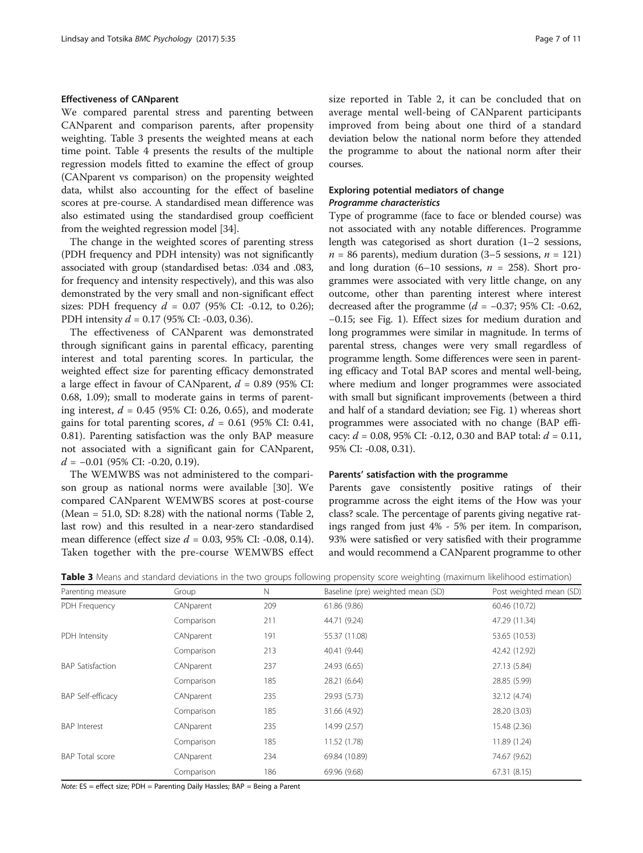# Effectiveness of CANparent

We compared parental stress and parenting between CANparent and comparison parents, after propensity weighting. Table 3 presents the weighted means at each time point. Table [4](#page-7-0) presents the results of the multiple regression models fitted to examine the effect of group (CANparent vs comparison) on the propensity weighted data, whilst also accounting for the effect of baseline scores at pre-course. A standardised mean difference was also estimated using the standardised group coefficient from the weighted regression model [[34](#page-10-0)].

The change in the weighted scores of parenting stress (PDH frequency and PDH intensity) was not significantly associated with group (standardised betas: .034 and .083, for frequency and intensity respectively), and this was also demonstrated by the very small and non-significant effect sizes: PDH frequency  $d = 0.07$  (95% CI: -0.12, to 0.26); PDH intensity  $d = 0.17$  (95% CI: -0.03, 0.36).

The effectiveness of CANparent was demonstrated through significant gains in parental efficacy, parenting interest and total parenting scores. In particular, the weighted effect size for parenting efficacy demonstrated a large effect in favour of CANparent,  $d = 0.89$  (95% CI: 0.68, 1.09); small to moderate gains in terms of parenting interest,  $d = 0.45$  (95% CI: 0.26, 0.65), and moderate gains for total parenting scores,  $d = 0.61$  (95% CI: 0.41, 0.81). Parenting satisfaction was the only BAP measure not associated with a significant gain for CANparent,  $d = -0.01$  (95% CI: -0.20, 0.19).

The WEMWBS was not administered to the comparison group as national norms were available [[30\]](#page-10-0). We compared CANparent WEMWBS scores at post-course (Mean  $= 51.0$ , SD: 8.28) with the national norms (Table [2](#page-5-0), last row) and this resulted in a near-zero standardised mean difference (effect size  $d = 0.03, 95\%$  CI: -0.08, 0.14). Taken together with the pre-course WEMWBS effect size reported in Table [2](#page-5-0), it can be concluded that on average mental well-being of CANparent participants improved from being about one third of a standard deviation below the national norm before they attended the programme to about the national norm after their courses.

# Exploring potential mediators of change

Type of programme (face to face or blended course) was not associated with any notable differences. Programme length was categorised as short duration (1–2 sessions,  $n = 86$  parents), medium duration (3–5 sessions,  $n = 121$ ) and long duration (6–10 sessions,  $n = 258$ ). Short programmes were associated with very little change, on any outcome, other than parenting interest where interest decreased after the programme  $(d = -0.37; 95\% \text{ CI: } -0.62,$ −0.15; see Fig. [1](#page-7-0)). Effect sizes for medium duration and long programmes were similar in magnitude. In terms of parental stress, changes were very small regardless of programme length. Some differences were seen in parenting efficacy and Total BAP scores and mental well-being, where medium and longer programmes were associated with small but significant improvements (between a third and half of a standard deviation; see Fig. [1](#page-7-0)) whereas short programmes were associated with no change (BAP efficacy:  $d = 0.08, 95\%$  CI: -0.12, 0.30 and BAP total:  $d = 0.11$ , 95% CI: -0.08, 0.31).

# Parents' satisfaction with the programme

Parents gave consistently positive ratings of their programme across the eight items of the How was your class? scale. The percentage of parents giving negative ratings ranged from just 4% - 5% per item. In comparison, 93% were satisfied or very satisfied with their programme and would recommend a CANparent programme to other

|                          |            | $\cdot$ $\cdot$ |                                   |                         |
|--------------------------|------------|-----------------|-----------------------------------|-------------------------|
| Parenting measure        | Group      | Ν               | Baseline (pre) weighted mean (SD) | Post weighted mean (SD) |
| PDH Frequency            | CANparent  | 209             | 61.86 (9.86)                      | 60.46 (10.72)           |
|                          | Comparison | 211             | 44.71 (9.24)                      | 47.29 (11.34)           |
| PDH Intensity            | CANparent  | 191             | 55.37 (11.08)                     | 53.65 (10.53)           |
|                          | Comparison | 213             | 40.41 (9.44)                      | 42.42 (12.92)           |
| <b>BAP Satisfaction</b>  | CANparent  | 237             | 24.93 (6.65)                      | 27.13 (5.84)            |
|                          | Comparison | 185             | 28.21 (6.64)                      | 28.85 (5.99)            |
| <b>BAP Self-efficacy</b> | CANparent  | 235             | 29.93 (5.73)                      | 32.12 (4.74)            |
|                          | Comparison | 185             | 31.66 (4.92)                      | 28.20 (3.03)            |
| <b>BAP</b> Interest      | CANparent  | 235             | 14.99 (2.57)                      | 15.48 (2.36)            |
|                          | Comparison | 185             | 11.52 (1.78)                      | 11.89 (1.24)            |
| <b>BAP</b> Total score   | CANparent  | 234             | 69.84 (10.89)                     | 74.67 (9.62)            |
|                          | Comparison | 186             | 69.96 (9.68)                      | 67.31 (8.15)            |

Table 3 Means and standard deviations in the two groups following propensity score weighting (maximum likelihood estimation)

Note: ES = effect size; PDH = Parenting Daily Hassles; BAP = Being a Parent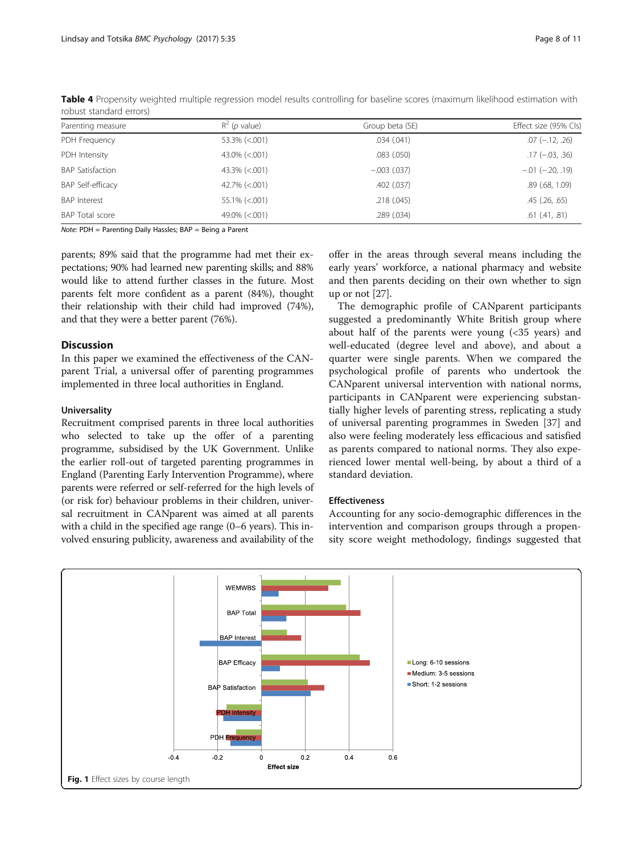| Parenting measure        | $R^2$ ( <i>p</i> value) | Group beta (SE) | Effect size (95% Cls) |  |
|--------------------------|-------------------------|-----------------|-----------------------|--|
| PDH Frequency            | $53.3\%$ (<.001)        | .034(.041)      | $.07$ (-.12, .26)     |  |
| PDH Intensity            | $43.0\%$ (<.001)        | .083(.050)      | $.17(-.03, .36)$      |  |
| <b>BAP Satisfaction</b>  | $43.3\%$ (<.001)        | $-.003(.037)$   | $-.01 (-.20, .19)$    |  |
| <b>BAP Self-efficacy</b> | $42.7\%$ (<.001)        | .402 (.037)     | .89 (.68, 1.09)       |  |
| <b>BAP</b> Interest      | $55.1\%$ (<.001)        | .218(.045)      | $.45$ $(.26, .65)$    |  |
| <b>BAP</b> Total score   | 49.0% (<.001)           | .289 (.034)     | $.61$ $(.41, .81)$    |  |

<span id="page-7-0"></span>Table 4 Propensity weighted multiple regression model results controlling for baseline scores (maximum likelihood estimation with robust standard errors)

Note: PDH = Parenting Daily Hassles; BAP = Being a Parent

parents; 89% said that the programme had met their expectations; 90% had learned new parenting skills; and 88% would like to attend further classes in the future. Most parents felt more confident as a parent (84%), thought their relationship with their child had improved (74%), and that they were a better parent (76%).

# Discussion

In this paper we examined the effectiveness of the CANparent Trial, a universal offer of parenting programmes implemented in three local authorities in England.

# **Universality**

Recruitment comprised parents in three local authorities who selected to take up the offer of a parenting programme, subsidised by the UK Government. Unlike the earlier roll-out of targeted parenting programmes in England (Parenting Early Intervention Programme), where parents were referred or self-referred for the high levels of (or risk for) behaviour problems in their children, universal recruitment in CANparent was aimed at all parents with a child in the specified age range (0–6 years). This involved ensuring publicity, awareness and availability of the

offer in the areas through several means including the early years' workforce, a national pharmacy and website and then parents deciding on their own whether to sign up or not [\[27\]](#page-10-0).

The demographic profile of CANparent participants suggested a predominantly White British group where about half of the parents were young (<35 years) and well-educated (degree level and above), and about a quarter were single parents. When we compared the psychological profile of parents who undertook the CANparent universal intervention with national norms, participants in CANparent were experiencing substantially higher levels of parenting stress, replicating a study of universal parenting programmes in Sweden [\[37](#page-10-0)] and also were feeling moderately less efficacious and satisfied as parents compared to national norms. They also experienced lower mental well-being, by about a third of a standard deviation.

# Effectiveness

Accounting for any socio-demographic differences in the intervention and comparison groups through a propensity score weight methodology, findings suggested that

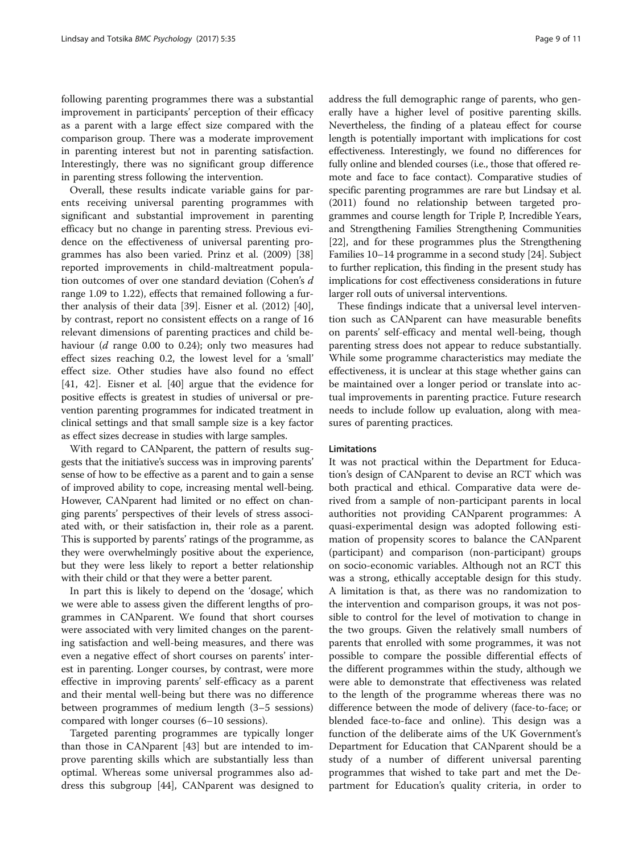following parenting programmes there was a substantial improvement in participants' perception of their efficacy as a parent with a large effect size compared with the comparison group. There was a moderate improvement in parenting interest but not in parenting satisfaction. Interestingly, there was no significant group difference in parenting stress following the intervention.

Overall, these results indicate variable gains for parents receiving universal parenting programmes with significant and substantial improvement in parenting efficacy but no change in parenting stress. Previous evidence on the effectiveness of universal parenting programmes has also been varied. Prinz et al. (2009) [[38](#page-10-0)] reported improvements in child-maltreatment population outcomes of over one standard deviation (Cohen's d range 1.09 to 1.22), effects that remained following a further analysis of their data [[39](#page-10-0)]. Eisner et al. (2012) [\[40](#page-10-0)], by contrast, report no consistent effects on a range of 16 relevant dimensions of parenting practices and child behaviour (d range 0.00 to 0.24); only two measures had effect sizes reaching 0.2, the lowest level for a 'small' effect size. Other studies have also found no effect [[41, 42](#page-10-0)]. Eisner et al. [[40](#page-10-0)] argue that the evidence for positive effects is greatest in studies of universal or prevention parenting programmes for indicated treatment in clinical settings and that small sample size is a key factor as effect sizes decrease in studies with large samples.

With regard to CANparent, the pattern of results suggests that the initiative's success was in improving parents' sense of how to be effective as a parent and to gain a sense of improved ability to cope, increasing mental well-being. However, CANparent had limited or no effect on changing parents' perspectives of their levels of stress associated with, or their satisfaction in, their role as a parent. This is supported by parents' ratings of the programme, as they were overwhelmingly positive about the experience, but they were less likely to report a better relationship with their child or that they were a better parent.

In part this is likely to depend on the 'dosage', which we were able to assess given the different lengths of programmes in CANparent. We found that short courses were associated with very limited changes on the parenting satisfaction and well-being measures, and there was even a negative effect of short courses on parents' interest in parenting. Longer courses, by contrast, were more effective in improving parents' self-efficacy as a parent and their mental well-being but there was no difference between programmes of medium length (3–5 sessions) compared with longer courses (6–10 sessions).

Targeted parenting programmes are typically longer than those in CANparent [\[43\]](#page-10-0) but are intended to improve parenting skills which are substantially less than optimal. Whereas some universal programmes also address this subgroup [[44\]](#page-10-0), CANparent was designed to address the full demographic range of parents, who generally have a higher level of positive parenting skills. Nevertheless, the finding of a plateau effect for course length is potentially important with implications for cost effectiveness. Interestingly, we found no differences for fully online and blended courses (i.e., those that offered remote and face to face contact). Comparative studies of specific parenting programmes are rare but Lindsay et al. (2011) found no relationship between targeted programmes and course length for Triple P, Incredible Years, and Strengthening Families Strengthening Communities [[22](#page-10-0)], and for these programmes plus the Strengthening Families 10–14 programme in a second study [[24](#page-10-0)]. Subject to further replication, this finding in the present study has implications for cost effectiveness considerations in future larger roll outs of universal interventions.

These findings indicate that a universal level intervention such as CANparent can have measurable benefits on parents' self-efficacy and mental well-being, though parenting stress does not appear to reduce substantially. While some programme characteristics may mediate the effectiveness, it is unclear at this stage whether gains can be maintained over a longer period or translate into actual improvements in parenting practice. Future research needs to include follow up evaluation, along with measures of parenting practices.

### Limitations

It was not practical within the Department for Education's design of CANparent to devise an RCT which was both practical and ethical. Comparative data were derived from a sample of non-participant parents in local authorities not providing CANparent programmes: A quasi-experimental design was adopted following estimation of propensity scores to balance the CANparent (participant) and comparison (non-participant) groups on socio-economic variables. Although not an RCT this was a strong, ethically acceptable design for this study. A limitation is that, as there was no randomization to the intervention and comparison groups, it was not possible to control for the level of motivation to change in the two groups. Given the relatively small numbers of parents that enrolled with some programmes, it was not possible to compare the possible differential effects of the different programmes within the study, although we were able to demonstrate that effectiveness was related to the length of the programme whereas there was no difference between the mode of delivery (face-to-face; or blended face-to-face and online). This design was a function of the deliberate aims of the UK Government's Department for Education that CANparent should be a study of a number of different universal parenting programmes that wished to take part and met the Department for Education's quality criteria, in order to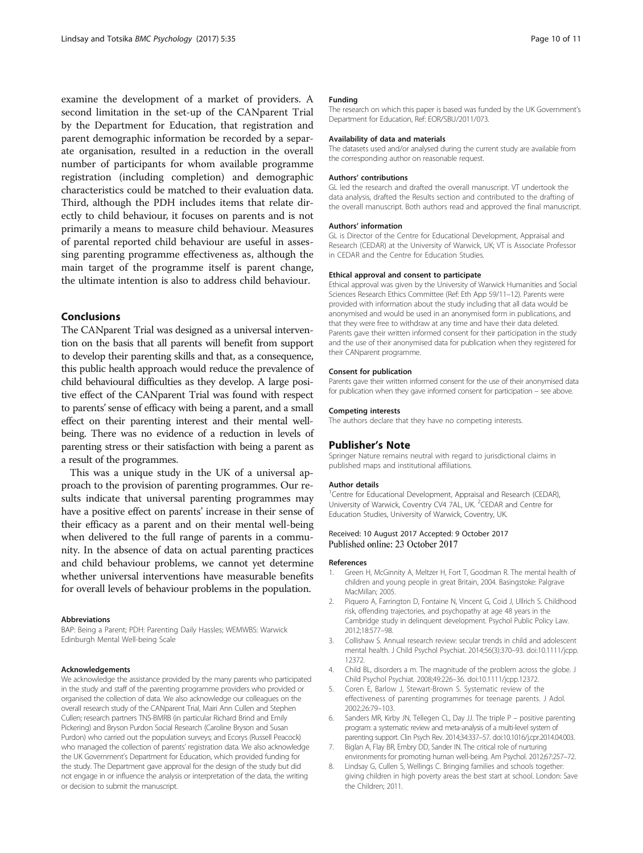<span id="page-9-0"></span>examine the development of a market of providers. A second limitation in the set-up of the CANparent Trial by the Department for Education, that registration and parent demographic information be recorded by a separate organisation, resulted in a reduction in the overall number of participants for whom available programme registration (including completion) and demographic characteristics could be matched to their evaluation data. Third, although the PDH includes items that relate directly to child behaviour, it focuses on parents and is not primarily a means to measure child behaviour. Measures of parental reported child behaviour are useful in assessing parenting programme effectiveness as, although the main target of the programme itself is parent change, the ultimate intention is also to address child behaviour.

# Conclusions

The CANparent Trial was designed as a universal intervention on the basis that all parents will benefit from support to develop their parenting skills and that, as a consequence, this public health approach would reduce the prevalence of child behavioural difficulties as they develop. A large positive effect of the CANparent Trial was found with respect to parents'sense of efficacy with being a parent, and a small effect on their parenting interest and their mental wellbeing. There was no evidence of a reduction in levels of parenting stress or their satisfaction with being a parent as a result of the programmes.

This was a unique study in the UK of a universal approach to the provision of parenting programmes. Our results indicate that universal parenting programmes may have a positive effect on parents' increase in their sense of their efficacy as a parent and on their mental well-being when delivered to the full range of parents in a community. In the absence of data on actual parenting practices and child behaviour problems, we cannot yet determine whether universal interventions have measurable benefits for overall levels of behaviour problems in the population.

### Abbreviations

BAP: Being a Parent; PDH: Parenting Daily Hassles; WEMWBS: Warwick Edinburgh Mental Well-being Scale

#### Acknowledgements

We acknowledge the assistance provided by the many parents who participated in the study and staff of the parenting programme providers who provided or organised the collection of data. We also acknowledge our colleagues on the overall research study of the CANparent Trial, Mairi Ann Cullen and Stephen Cullen; research partners TNS-BMRB (in particular Richard Brind and Emily Pickering) and Bryson Purdon Social Research (Caroline Bryson and Susan Purdon) who carried out the population surveys; and Ecorys (Russell Peacock) who managed the collection of parents' registration data. We also acknowledge the UK Government's Department for Education, which provided funding for the study. The Department gave approval for the design of the study but did not engage in or influence the analysis or interpretation of the data, the writing or decision to submit the manuscript.

### Funding

The research on which this paper is based was funded by the UK Government's Department for Education, Ref: EOR/SBU/2011/073.

#### Availability of data and materials

The datasets used and/or analysed during the current study are available from the corresponding author on reasonable request.

#### Authors' contributions

GL led the research and drafted the overall manuscript. VT undertook the data analysis, drafted the Results section and contributed to the drafting of the overall manuscript. Both authors read and approved the final manuscript.

#### Authors' information

GL is Director of the Centre for Educational Development, Appraisal and Research (CEDAR) at the University of Warwick, UK; VT is Associate Professor in CEDAR and the Centre for Education Studies.

#### Ethical approval and consent to participate

Ethical approval was given by the University of Warwick Humanities and Social Sciences Research Ethics Committee (Ref: Eth App 59/11–12). Parents were provided with information about the study including that all data would be anonymised and would be used in an anonymised form in publications, and that they were free to withdraw at any time and have their data deleted. Parents gave their written informed consent for their participation in the study and the use of their anonymised data for publication when they registered for their CANparent programme.

### Consent for publication

Parents gave their written informed consent for the use of their anonymised data for publication when they gave informed consent for participation – see above.

### Competing interests

The authors declare that they have no competing interests.

#### Publisher's Note

Springer Nature remains neutral with regard to jurisdictional claims in published maps and institutional affiliations.

#### Author details

<sup>1</sup> Centre for Educational Development, Appraisal and Research (CEDAR), University of Warwick, Coventry CV4 7AL, UK. <sup>2</sup>CEDAR and Centre for Education Studies, University of Warwick, Coventry, UK.

# Received: 10 August 2017 Accepted: 9 October 2017 Published online: 23 October 2017

#### References

- 1. Green H, McGinnity A, Meltzer H, Fort T, Goodman R. The mental health of children and young people in great Britain, 2004. Basingstoke: Palgrave MacMillan; 2005.
- 2. Piquero A, Farrington D, Fontaine N, Vincent G, Coid J, Ullrich S. Childhood risk, offending trajectories, and psychopathy at age 48 years in the Cambridge study in delinquent development. Psychol Public Policy Law. 2012;18:577–98.
- 3. Collishaw S. Annual research review: secular trends in child and adolescent mental health. J Child Psychol Psychiat. 2014;56(3):370–93. doi[:10.1111/jcpp.](http://dx.doi.org/10.1111/jcpp.12372) [12372.](http://dx.doi.org/10.1111/jcpp.12372)
- 4. Child BL, disorders a m. The magnitude of the problem across the globe. J Child Psychol Psychiat. 2008;49:226–36. doi:[10.1111/jcpp.12372](http://dx.doi.org/10.1111/jcpp.12372).
- 5. Coren E, Barlow J, Stewart-Brown S. Systematic review of the effectiveness of parenting programmes for teenage parents. J Adol. 2002;26:79–103.
- 6. Sanders MR, Kirby JN, Tellegen CL, Day JJ. The triple P positive parenting program: a systematic review and meta-analysis of a multi-level system of parenting support. Clin Psych Rev. 2014;34:337–57. doi[:10.1016/j.cpr.2014.04.003](http://dx.doi.org/10.1016/j.cpr.2014.04.003).
- 7. Biglan A, Flay BR, Embry DD, Sander IN. The critical role of nurturing environments for promoting human well-being. Am Psychol. 2012;67:257–72.
- 8. Lindsay G, Cullen S, Wellings C. Bringing families and schools together: giving children in high poverty areas the best start at school. London: Save the Children; 2011.